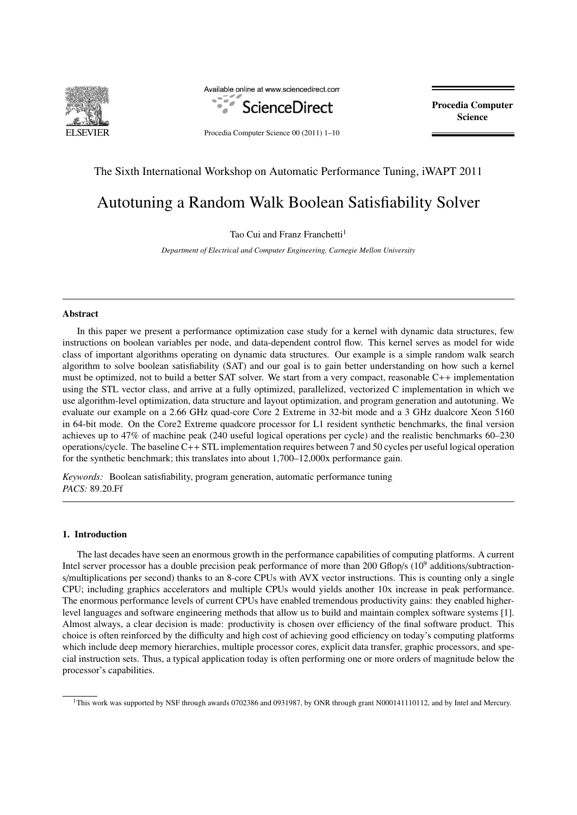

Available online at www.sciencedirect.com



Procedia Computer Science

Procedia Computer Science 00 (2011) 1–10

## The Sixth International Workshop on Automatic Performance Tuning, iWAPT 2011

# Autotuning a Random Walk Boolean Satisfiability Solver

Tao Cui and Franz Franchetti<sup>1</sup>

*Department of Electrical and Computer Engineering, Carnegie Mellon University*

## Abstract

In this paper we present a performance optimization case study for a kernel with dynamic data structures, few instructions on boolean variables per node, and data-dependent control flow. This kernel serves as model for wide class of important algorithms operating on dynamic data structures. Our example is a simple random walk search algorithm to solve boolean satisfiability (SAT) and our goal is to gain better understanding on how such a kernel must be optimized, not to build a better SAT solver. We start from a very compact, reasonable C++ implementation using the STL vector class, and arrive at a fully optimized, parallelized, vectorized C implementation in which we use algorithm-level optimization, data structure and layout optimization, and program generation and autotuning. We evaluate our example on a 2.66 GHz quad-core Core 2 Extreme in 32-bit mode and a 3 GHz dualcore Xeon 5160 in 64-bit mode. On the Core2 Extreme quadcore processor for L1 resident synthetic benchmarks, the final version achieves up to 47% of machine peak (240 useful logical operations per cycle) and the realistic benchmarks 60–230 operations/cycle. The baseline C++ STL implementation requires between 7 and 50 cycles per useful logical operation for the synthetic benchmark; this translates into about 1,700–12,000x performance gain.

*Keywords:* Boolean satisfiability, program generation, automatic performance tuning *PACS:* 89.20.Ff

## 1. Introduction

The last decades have seen an enormous growth in the performance capabilities of computing platforms. A current Intel server processor has a double precision peak performance of more than 200 Gflop/s  $(10^9 \text{ additions/subtraction}$ s/multiplications per second) thanks to an 8-core CPUs with AVX vector instructions. This is counting only a single CPU; including graphics accelerators and multiple CPUs would yields another 10x increase in peak performance. The enormous performance levels of current CPUs have enabled tremendous productivity gains: they enabled higherlevel languages and software engineering methods that allow us to build and maintain complex software systems [1]. Almost always, a clear decision is made: productivity is chosen over efficiency of the final software product. This choice is often reinforced by the difficulty and high cost of achieving good efficiency on today's computing platforms which include deep memory hierarchies, multiple processor cores, explicit data transfer, graphic processors, and special instruction sets. Thus, a typical application today is often performing one or more orders of magnitude below the processor's capabilities.

<sup>&</sup>lt;sup>1</sup>This work was supported by NSF through awards 0702386 and 0931987, by ONR through grant N000141110112, and by Intel and Mercury.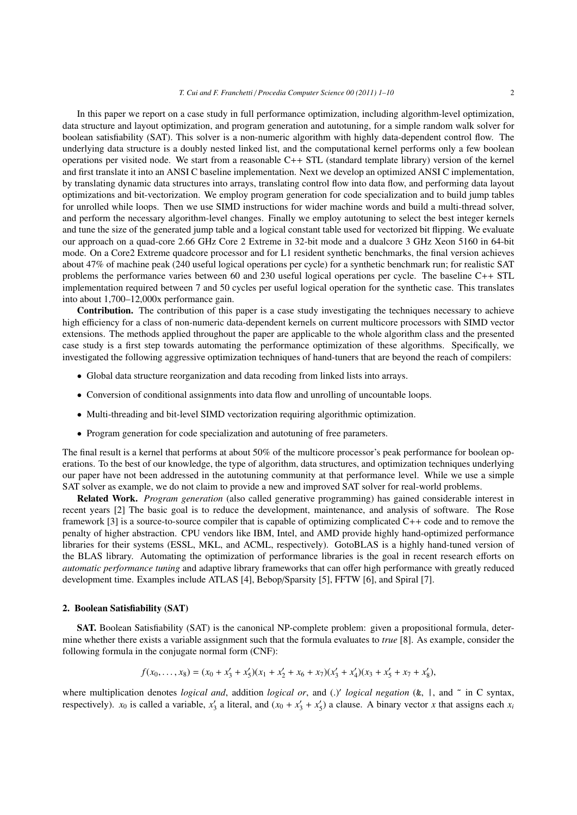In this paper we report on a case study in full performance optimization, including algorithm-level optimization, data structure and layout optimization, and program generation and autotuning, for a simple random walk solver for boolean satisfiability (SAT). This solver is a non-numeric algorithm with highly data-dependent control flow. The underlying data structure is a doubly nested linked list, and the computational kernel performs only a few boolean operations per visited node. We start from a reasonable C++ STL (standard template library) version of the kernel and first translate it into an ANSI C baseline implementation. Next we develop an optimized ANSI C implementation, by translating dynamic data structures into arrays, translating control flow into data flow, and performing data layout optimizations and bit-vectorization. We employ program generation for code specialization and to build jump tables for unrolled while loops. Then we use SIMD instructions for wider machine words and build a multi-thread solver, and perform the necessary algorithm-level changes. Finally we employ autotuning to select the best integer kernels and tune the size of the generated jump table and a logical constant table used for vectorized bit flipping. We evaluate our approach on a quad-core 2.66 GHz Core 2 Extreme in 32-bit mode and a dualcore 3 GHz Xeon 5160 in 64-bit mode. On a Core2 Extreme quadcore processor and for L1 resident synthetic benchmarks, the final version achieves about 47% of machine peak (240 useful logical operations per cycle) for a synthetic benchmark run; for realistic SAT problems the performance varies between 60 and 230 useful logical operations per cycle. The baseline C++ STL implementation required between 7 and 50 cycles per useful logical operation for the synthetic case. This translates into about 1,700–12,000x performance gain.

Contribution. The contribution of this paper is a case study investigating the techniques necessary to achieve high efficiency for a class of non-numeric data-dependent kernels on current multicore processors with SIMD vector extensions. The methods applied throughout the paper are applicable to the whole algorithm class and the presented case study is a first step towards automating the performance optimization of these algorithms. Specifically, we investigated the following aggressive optimization techniques of hand-tuners that are beyond the reach of compilers:

- Global data structure reorganization and data recoding from linked lists into arrays.
- Conversion of conditional assignments into data flow and unrolling of uncountable loops.
- Multi-threading and bit-level SIMD vectorization requiring algorithmic optimization.
- Program generation for code specialization and autotuning of free parameters.

The final result is a kernel that performs at about 50% of the multicore processor's peak performance for boolean operations. To the best of our knowledge, the type of algorithm, data structures, and optimization techniques underlying our paper have not been addressed in the autotuning community at that performance level. While we use a simple SAT solver as example, we do not claim to provide a new and improved SAT solver for real-world problems.

Related Work. *Program generation* (also called generative programming) has gained considerable interest in recent years [2] The basic goal is to reduce the development, maintenance, and analysis of software. The Rose framework [3] is a source-to-source compiler that is capable of optimizing complicated  $C++$  code and to remove the penalty of higher abstraction. CPU vendors like IBM, Intel, and AMD provide highly hand-optimized performance libraries for their systems (ESSL, MKL, and ACML, respectively). GotoBLAS is a highly hand-tuned version of the BLAS library. Automating the optimization of performance libraries is the goal in recent research efforts on *automatic performance tuning* and adaptive library frameworks that can offer high performance with greatly reduced development time. Examples include ATLAS [4], Bebop/Sparsity [5], FFTW [6], and Spiral [7].

#### 2. Boolean Satisfiability (SAT)

SAT. Boolean Satisfiability (SAT) is the canonical NP-complete problem: given a propositional formula, determine whether there exists a variable assignment such that the formula evaluates to *true* [8]. As example, consider the following formula in the conjugate normal form (CNF):

$$
f(x_0,...,x_8)=(x_0+x'_3+x'_5)(x_1+x'_2+x_6+x_7)(x'_3+x'_4)(x_3+x'_5+x_7+x'_8),
$$

where multiplication denotes *logical and*, addition *logical or*, and (*i*) *logical negation* ( $\&$ ,  $\vert$ , and  $\sim$  in C syntax, respectively).  $x_0$  is called a variable,  $x'_3$  a literal, and  $(x_0 + x'_3 + x'_5)$  a clause. A binary vector *x* that assigns each  $x_i$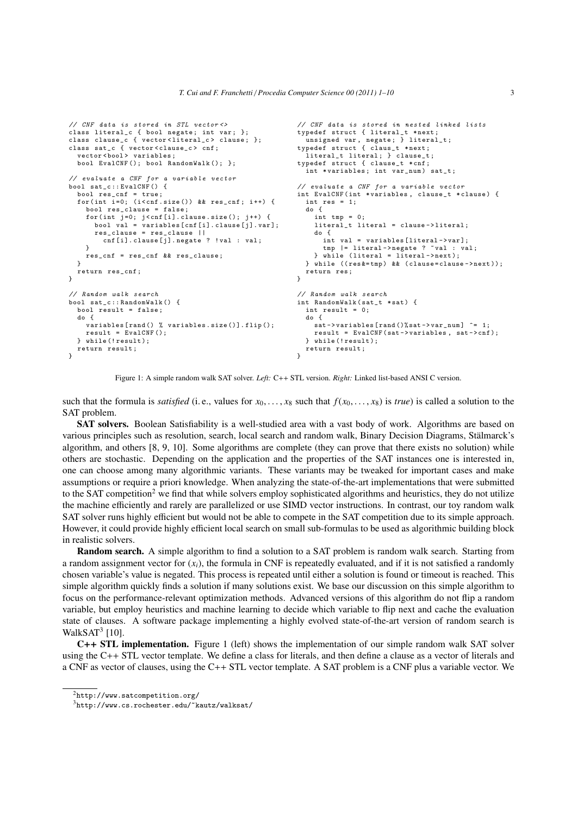```
// CNF data is stored in STL vector < >
class literal_c { bool negate; int var; };
class clause_c { vector <literal_c > clause; };
class sat_c { vector < clause_c > cnf;<br>vector < bool > variables;
  bool EvalCNF (); bool RandomWalk (); };
// evaluate a CNF for a variable vector
bool sat_c :: EvalCNF () {
   bool res_cnf = true ;
for ( int i =0; (i < cnf . size ()) && res_cnf ; i ++) {
    bool res clause = false:
     for (int j=0; j < cnf[i]. clause.size (); j++) {
       bool val = variables [cnf[i]. clause[j]. var];
       res_clause = res_clause ||
         cnf[i].clause[j].negate ? !val : val:
    }
    res_cnf = res_cnf && res_clause ;
  }
  return res_cnf ;
\lambda// Random walk search
bool sat_c :: RandomWalk () {
  bool result = false ;
  do {
    variables [rand () % variables.size()].flip();
    result = EvalCNF ();
  } while ( result):
  return result ;
}
                                                             // CNF data is stored in nested linked lists
                                                             typedef struct { literal_t * next ;
                                                               unsigned var, negate; } literal_t;
                                                              typedef struct { claus_t * next ;
literal_t literal ; } clause_t ;
                                                             typedef struct { clause_t * cnf ;
                                                                int * variables; int var_num) sat_t;
                                                              // evaluate a CNF for a variable vector
                                                             int EvalCNF (int *variables, clause_t *clause) {
                                                                int res = 1:
                                                                do {
                                                                  int tmp = 0;literal_t literal = clause->literal;
                                                                  do {
                                                                    int val = variables [ literal -> var ];
                                                                    tmp | = 1iteral ->negate ? "val : val;
                                                                  } while (literal = literal->next);
                                                                } while (( res &= tmp ) && ( clause = clause - > next ));
                                                               return res ;
                                                             }
                                                             // Random walk search
                                                             int RandomWalk ( sat_t * sat ) {
                                                                int result = 0;
                                                                do {
                                                                  sat -> variables [rand()% sat -> var_num ] \hat{} = 1;
                                                                  result = EvalCNF ( sat -> variables , sat -> cnf );
                                                               } while ( result ):return result ;
                                                              }
```
Figure 1: A simple random walk SAT solver. *Left:* C++ STL version. *Right:* Linked list-based ANSI C version.

such that the formula is *satisfied* (i.e., values for  $x_0, \ldots, x_8$  such that  $f(x_0, \ldots, x_8)$  is *true*) is called a solution to the SAT problem.

SAT solvers. Boolean Satisfiability is a well-studied area with a vast body of work. Algorithms are based on various principles such as resolution, search, local search and random walk, Binary Decision Diagrams, Stälmarck's algorithm, and others [8, 9, 10]. Some algorithms are complete (they can prove that there exists no solution) while others are stochastic. Depending on the application and the properties of the SAT instances one is interested in, one can choose among many algorithmic variants. These variants may be tweaked for important cases and make assumptions or require a priori knowledge. When analyzing the state-of-the-art implementations that were submitted to the SAT competition<sup>2</sup> we find that while solvers employ sophisticated algorithms and heuristics, they do not utilize the machine efficiently and rarely are parallelized or use SIMD vector instructions. In contrast, our toy random walk SAT solver runs highly efficient but would not be able to compete in the SAT competition due to its simple approach. However, it could provide highly efficient local search on small sub-formulas to be used as algorithmic building block in realistic solvers.

Random search. A simple algorithm to find a solution to a SAT problem is random walk search. Starting from a random assignment vector for  $(x_i)$ , the formula in CNF is repeatedly evaluated, and if it is not satisfied a randomly chosen variable's value is negated. This process is repeated until either a solution is found or timeout is reached. This simple algorithm quickly finds a solution if many solutions exist. We base our discussion on this simple algorithm to focus on the performance-relevant optimization methods. Advanced versions of this algorithm do not flip a random variable, but employ heuristics and machine learning to decide which variable to flip next and cache the evaluation state of clauses. A software package implementing a highly evolved state-of-the-art version of random search is WalkSAT $3$  [10].

C++ STL implementation. Figure 1 (left) shows the implementation of our simple random walk SAT solver using the C++ STL vector template. We define a class for literals, and then define a clause as a vector of literals and a CNF as vector of clauses, using the C++ STL vector template. A SAT problem is a CNF plus a variable vector. We

 $^{2}$ http://www.satcompetition.org/

<sup>3</sup>http://www.cs.rochester.edu/~kautz/walksat/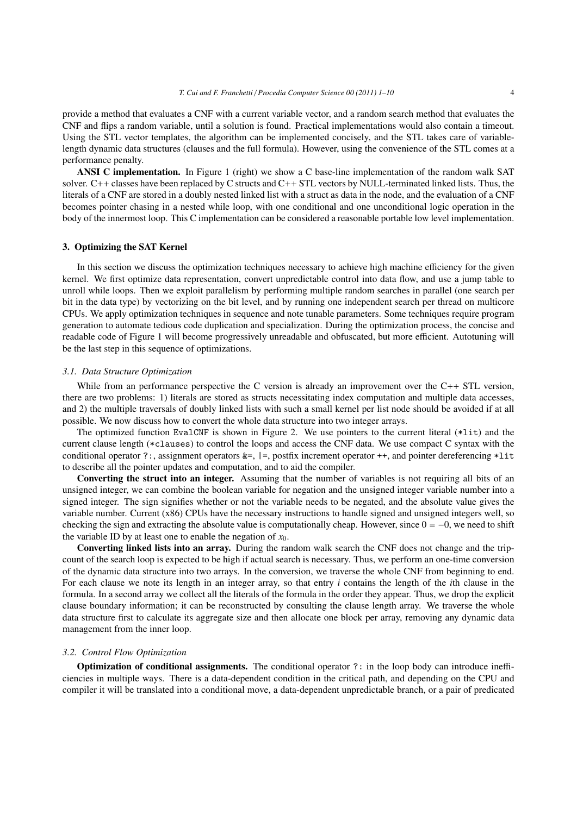provide a method that evaluates a CNF with a current variable vector, and a random search method that evaluates the CNF and flips a random variable, until a solution is found. Practical implementations would also contain a timeout. Using the STL vector templates, the algorithm can be implemented concisely, and the STL takes care of variablelength dynamic data structures (clauses and the full formula). However, using the convenience of the STL comes at a performance penalty.

ANSI C implementation. In Figure 1 (right) we show a C base-line implementation of the random walk SAT solver. C++ classes have been replaced by C structs and C++ STL vectors by NULL-terminated linked lists. Thus, the literals of a CNF are stored in a doubly nested linked list with a struct as data in the node, and the evaluation of a CNF becomes pointer chasing in a nested while loop, with one conditional and one unconditional logic operation in the body of the innermost loop. This C implementation can be considered a reasonable portable low level implementation.

#### 3. Optimizing the SAT Kernel

In this section we discuss the optimization techniques necessary to achieve high machine efficiency for the given kernel. We first optimize data representation, convert unpredictable control into data flow, and use a jump table to unroll while loops. Then we exploit parallelism by performing multiple random searches in parallel (one search per bit in the data type) by vectorizing on the bit level, and by running one independent search per thread on multicore CPUs. We apply optimization techniques in sequence and note tunable parameters. Some techniques require program generation to automate tedious code duplication and specialization. During the optimization process, the concise and readable code of Figure 1 will become progressively unreadable and obfuscated, but more efficient. Autotuning will be the last step in this sequence of optimizations.

#### *3.1. Data Structure Optimization*

While from an performance perspective the C version is already an improvement over the C++ STL version, there are two problems: 1) literals are stored as structs necessitating index computation and multiple data accesses, and 2) the multiple traversals of doubly linked lists with such a small kernel per list node should be avoided if at all possible. We now discuss how to convert the whole data structure into two integer arrays.

The optimized function EvalCNF is shown in Figure 2. We use pointers to the current literal (\*lit) and the current clause length (\*clauses) to control the loops and access the CNF data. We use compact C syntax with the conditional operator ?:, assignment operators  $k =$ ,  $|=$ , postfix increment operator  $++$ , and pointer dereferencing  $*$ lit to describe all the pointer updates and computation, and to aid the compiler.

Converting the struct into an integer. Assuming that the number of variables is not requiring all bits of an unsigned integer, we can combine the boolean variable for negation and the unsigned integer variable number into a signed integer. The sign signifies whether or not the variable needs to be negated, and the absolute value gives the variable number. Current (x86) CPUs have the necessary instructions to handle signed and unsigned integers well, so checking the sign and extracting the absolute value is computationally cheap. However, since  $0 = -0$ , we need to shift the variable ID by at least one to enable the negation of  $x_0$ .

Converting linked lists into an array. During the random walk search the CNF does not change and the tripcount of the search loop is expected to be high if actual search is necessary. Thus, we perform an one-time conversion of the dynamic data structure into two arrays. In the conversion, we traverse the whole CNF from beginning to end. For each clause we note its length in an integer array, so that entry *i* contains the length of the *i*th clause in the formula. In a second array we collect all the literals of the formula in the order they appear. Thus, we drop the explicit clause boundary information; it can be reconstructed by consulting the clause length array. We traverse the whole data structure first to calculate its aggregate size and then allocate one block per array, removing any dynamic data management from the inner loop.

#### *3.2. Control Flow Optimization*

Optimization of conditional assignments. The conditional operator ?: in the loop body can introduce inefficiencies in multiple ways. There is a data-dependent condition in the critical path, and depending on the CPU and compiler it will be translated into a conditional move, a data-dependent unpredictable branch, or a pair of predicated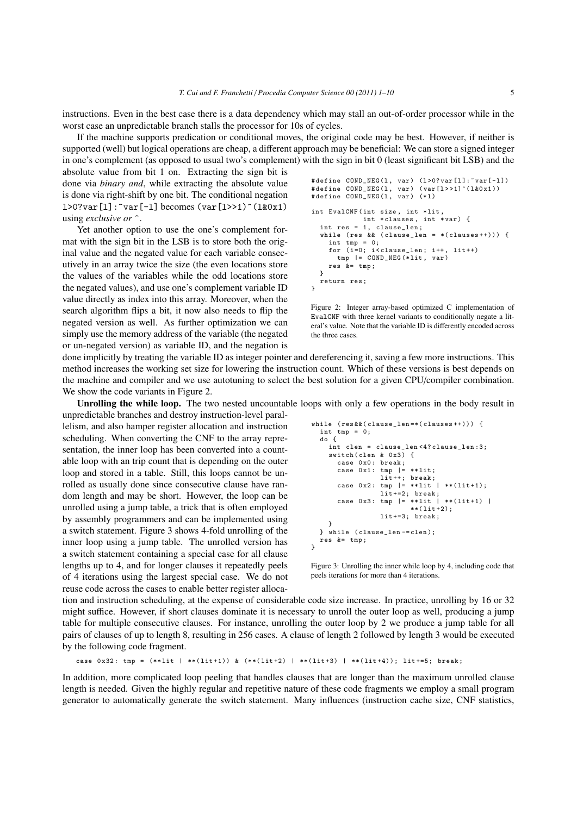instructions. Even in the best case there is a data dependency which may stall an out-of-order processor while in the worst case an unpredictable branch stalls the processor for 10s of cycles.

If the machine supports predication or conditional moves, the original code may be best. However, if neither is supported (well) but logical operations are cheap, a different approach may be beneficial: We can store a signed integer in one's complement (as opposed to usual two's complement) with the sign in bit 0 (least significant bit LSB) and the

absolute value from bit 1 on. Extracting the sign bit is done via *binary and*, while extracting the absolute value is done via right-shift by one bit. The conditional negation l>0?var[l]:~var[-l] becomes (var[l>>1)^(l&0x1) using *exclusive or* ^.

Yet another option to use the one's complement format with the sign bit in the LSB is to store both the original value and the negated value for each variable consecutively in an array twice the size (the even locations store the values of the variables while the odd locations store the negated values), and use one's complement variable ID value directly as index into this array. Moreover, when the search algorithm flips a bit, it now also needs to flip the negated version as well. As further optimization we can simply use the memory address of the variable (the negated or un-negated version) as variable ID, and the negation is

```
#define COND_NEG(1, var) (1>0? var[1]: "var[-1])
# define COND_NEG(1, var) (var [1>>1]^(1&0x1))
#define COND_NEG(1, var) (*1)
int EvalCNF (int size, int *lit,
             int * clauses, int * var) {
  int res = 1, clause_len;
  while ( res && ( clause_len = *( clauses ++))) {
int tmp = 0;
    for (i=0; i<clause_len; i++, lit++)tmp |= COND_NEG (* lit , var )
    res k = \text{tmp};
  }
  return res ;
}
```
Figure 2: Integer array-based optimized C implementation of EvalCNF with three kernel variants to conditionally negate a literal's value. Note that the variable ID is differently encoded across the three cases.

done implicitly by treating the variable ID as integer pointer and dereferencing it, saving a few more instructions. This method increases the working set size for lowering the instruction count. Which of these versions is best depends on the machine and compiler and we use autotuning to select the best solution for a given CPU/compiler combination. We show the code variants in Figure 2.

Unrolling the while loop. The two nested uncountable loops with only a few operations in the body result in unpredictable branches and destroy instruction-level paral-

lelism, and also hamper register allocation and instruction scheduling. When converting the CNF to the array representation, the inner loop has been converted into a countable loop with an trip count that is depending on the outer loop and stored in a table. Still, this loops cannot be unrolled as usually done since consecutive clause have random length and may be short. However, the loop can be unrolled using a jump table, a trick that is often employed by assembly programmers and can be implemented using a switch statement. Figure 3 shows 4-fold unrolling of the inner loop using a jump table. The unrolled version has a switch statement containing a special case for all clause lengths up to 4, and for longer clauses it repeatedly peels of 4 iterations using the largest special case. We do not reuse code across the cases to enable better register alloca-

```
while ( res &&( clause_len =*( clauses ++))) {
  int tmp = 0;do {
    int clen = clause_len <4? clause_len :3;
    switch (clen & 0x3) {
       case 0x0: break:
       case 0 \times 1: tmp |= **lit;
       lit ++; break ;
case 0 x2 : tmp |= ** lit | **( lit +1);
       lit +=2; break ;
case 0 x3 : tmp |= ** lit | **( lit +1) |
                            ***( 1it + 2);lit +=3; break ;
    }
  } while ( clause_len -= clen );
  res &= tmp ;
}
```
Figure 3: Unrolling the inner while loop by 4, including code that peels iterations for more than 4 iterations.

tion and instruction scheduling, at the expense of considerable code size increase. In practice, unrolling by 16 or 32 might suffice. However, if short clauses dominate it is necessary to unroll the outer loop as well, producing a jump table for multiple consecutive clauses. For instance, unrolling the outer loop by 2 we produce a jump table for all pairs of clauses of up to length 8, resulting in 256 cases. A clause of length 2 followed by length 3 would be executed by the following code fragment.

case 0x32: tmp = (\*\*lit | \*\*(1it+1)) & (\*\*(1it+2) | \*\*(1it+3) | \*\*(1it+4)); lit+=5; break;

In addition, more complicated loop peeling that handles clauses that are longer than the maximum unrolled clause length is needed. Given the highly regular and repetitive nature of these code fragments we employ a small program generator to automatically generate the switch statement. Many influences (instruction cache size, CNF statistics,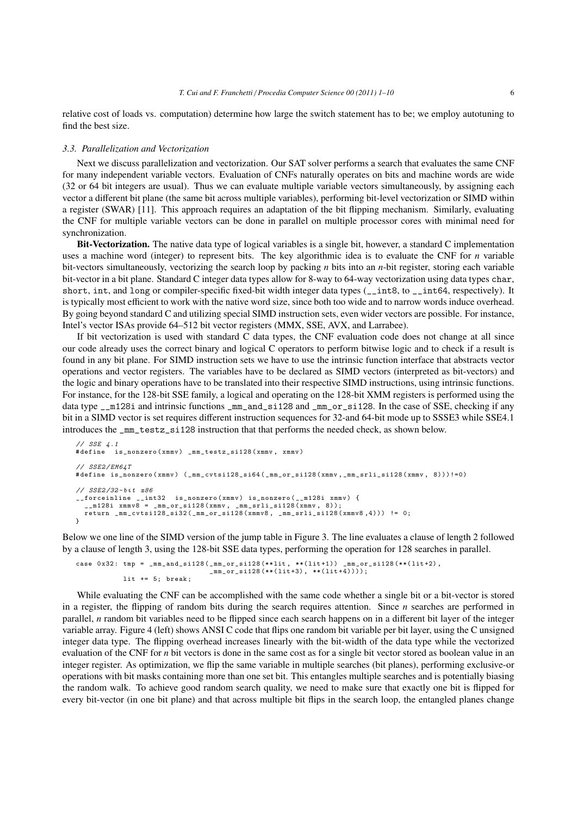relative cost of loads vs. computation) determine how large the switch statement has to be; we employ autotuning to find the best size.

#### *3.3. Parallelization and Vectorization*

Next we discuss parallelization and vectorization. Our SAT solver performs a search that evaluates the same CNF for many independent variable vectors. Evaluation of CNFs naturally operates on bits and machine words are wide (32 or 64 bit integers are usual). Thus we can evaluate multiple variable vectors simultaneously, by assigning each vector a different bit plane (the same bit across multiple variables), performing bit-level vectorization or SIMD within a register (SWAR) [11]. This approach requires an adaptation of the bit flipping mechanism. Similarly, evaluating the CNF for multiple variable vectors can be done in parallel on multiple processor cores with minimal need for synchronization.

Bit-Vectorization. The native data type of logical variables is a single bit, however, a standard C implementation uses a machine word (integer) to represent bits. The key algorithmic idea is to evaluate the CNF for *n* variable bit-vectors simultaneously, vectorizing the search loop by packing *n* bits into an *n*-bit register, storing each variable bit-vector in a bit plane. Standard C integer data types allow for 8-way to 64-way vectorization using data types char, short, int, and long or compiler-specific fixed-bit width integer data types (\_\_int8, to \_\_int64, respectively). It is typically most efficient to work with the native word size, since both too wide and to narrow words induce overhead. By going beyond standard C and utilizing special SIMD instruction sets, even wider vectors are possible. For instance, Intel's vector ISAs provide 64–512 bit vector registers (MMX, SSE, AVX, and Larrabee).

If bit vectorization is used with standard C data types, the CNF evaluation code does not change at all since our code already uses the correct binary and logical C operators to perform bitwise logic and to check if a result is found in any bit plane. For SIMD instruction sets we have to use the intrinsic function interface that abstracts vector operations and vector registers. The variables have to be declared as SIMD vectors (interpreted as bit-vectors) and the logic and binary operations have to be translated into their respective SIMD instructions, using intrinsic functions. For instance, for the 128-bit SSE family, a logical and operating on the 128-bit XMM registers is performed using the data type \_\_m128i and intrinsic functions \_mm\_and\_si128 and \_mm\_or\_si128. In the case of SSE, checking if any bit in a SIMD vector is set requires different instruction sequences for 32-and 64-bit mode up to SSSE3 while SSE4.1 introduces the \_mm\_testz\_si128 instruction that that performs the needed check, as shown below.

```
// SSE 4.1
# define is_nonzero ( xmmv ) _mm_testz_si128 ( xmmv , xmmv )
// SSE2 / EM64T
#define is_nonzero (xmmv) (_mm_cvtsi128_si64(_mm_or_si128(xmmv,_mm_srli_si128(xmmv, 8)))!=0)
11 SSE2/32-bit x86\frac{1}{2}forceinline \frac{1}{2}int32 is_nonzero(xmmv) is_nonzero(\frac{1}{2}m128i xmmv) {<br>m128i xmmv8 = mm or si128(xmmv, mm srli si128(xmmv, 8));
    _{-}m128i xmmv8 = _{-}mm_{-}or_{-}si128 (xmmv,
  return _mm_cvtsi128_si32 ( _mm_or_si128 ( xmmv8 , _mm_srli_si128 ( xmmv8 ,4))) != 0;
\mathbf{a}
```
Below we one line of the SIMD version of the jump table in Figure 3. The line evaluates a clause of length 2 followed by a clause of length 3, using the 128-bit SSE data types, performing the operation for 128 searches in parallel.

```
case 0 x32 : tmp = _mm_and_si128 ( _mm_or_si128 (** lit , **( lit +1)) _mm_or_si128 (**( lit +2) ,
                                     \frac{1}{2}mm_or_si128 (**(lit+3), **(lit+4))));
             lit += 5; break;
```
While evaluating the CNF can be accomplished with the same code whether a single bit or a bit-vector is stored in a register, the flipping of random bits during the search requires attention. Since *n* searches are performed in parallel, *n* random bit variables need to be flipped since each search happens on in a different bit layer of the integer variable array. Figure 4 (left) shows ANSI C code that flips one random bit variable per bit layer, using the C unsigned integer data type. The flipping overhead increases linearly with the bit-width of the data type while the vectorized evaluation of the CNF for *n* bit vectors is done in the same cost as for a single bit vector stored as boolean value in an integer register. As optimization, we flip the same variable in multiple searches (bit planes), performing exclusive-or operations with bit masks containing more than one set bit. This entangles multiple searches and is potentially biasing the random walk. To achieve good random search quality, we need to make sure that exactly one bit is flipped for every bit-vector (in one bit plane) and that across multiple bit flips in the search loop, the entangled planes change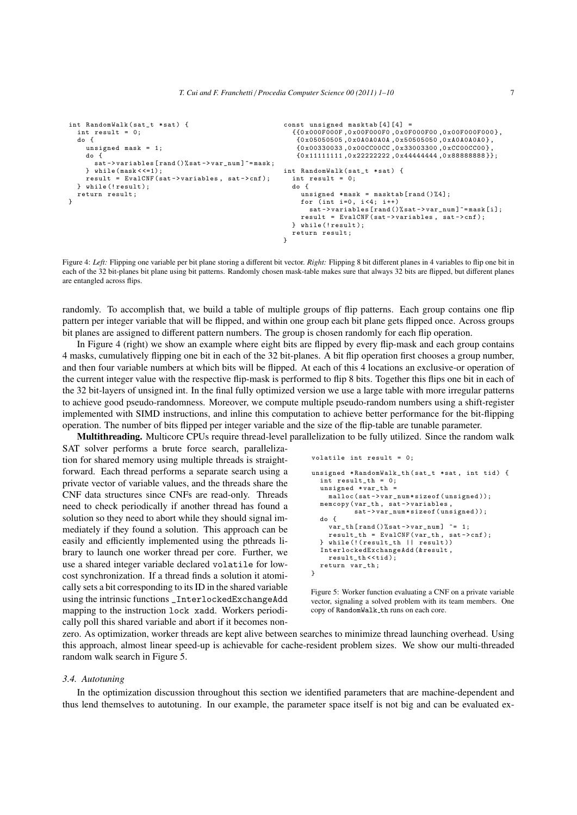```
int RandomWalk (sat_t * sat ) {
  int result = 0;
  do {
    unsigned mask = 1;
    do {
      sat -> variables [rand ()% sat -> var_num ] ^= mask ;
    } while ( mask < <=1);
    result = EvalCNF ( sat -> variables , sat -> cnf );
  } while (! result );
  return result ;
}
                                                          const unsigned masktab [4] [4] =
                                                            {{0 x000F000F ,0 x00F000F0 ,0 x0F000F00 ,0 x00F000F000 },
                                                             {0 x05050505 ,0 x0A0A0A0A ,0 x50505050 ,0 xA0A0A0A0 },
                                                             {0 x00330033 ,0 x00CC00CC ,0 x33003300 ,0 xCC00CC00 },
                                                             {0 x11111111 ,0 x22222222 ,0 x44444444 ,0 x88888888 }};
                                                          int RandomWalk (sat t * sat ) {
                                                            int result = 0;
                                                            do {
                                                              unsigned *mask = masktab [rand ()%4];
                                                              for (int i=0, i<4; i++)sat -> variables [rand ()% sat -> var_num]^=mask [i];
                                                              result = EvalCNF ( sat -> variables , sat -> cnf );
                                                            } while (! result );
                                                            return result ;
                                                          }
```
Figure 4: *Left:* Flipping one variable per bit plane storing a different bit vector. *Right:* Flipping 8 bit different planes in 4 variables to flip one bit in each of the 32 bit-planes bit plane using bit patterns. Randomly chosen mask-table makes sure that always 32 bits are flipped, but different planes are entangled across flips.

randomly. To accomplish that, we build a table of multiple groups of flip patterns. Each group contains one flip pattern per integer variable that will be flipped, and within one group each bit plane gets flipped once. Across groups bit planes are assigned to different pattern numbers. The group is chosen randomly for each flip operation.

In Figure 4 (right) we show an example where eight bits are flipped by every flip-mask and each group contains 4 masks, cumulatively flipping one bit in each of the 32 bit-planes. A bit flip operation first chooses a group number, and then four variable numbers at which bits will be flipped. At each of this 4 locations an exclusive-or operation of the current integer value with the respective flip-mask is performed to flip 8 bits. Together this flips one bit in each of the 32 bit-layers of unsigned int. In the final fully optimized version we use a large table with more irregular patterns to achieve good pseudo-randomness. Moreover, we compute multiple pseudo-random numbers using a shift-register implemented with SIMD instructions, and inline this computation to achieve better performance for the bit-flipping operation. The number of bits flipped per integer variable and the size of the flip-table are tunable parameter.

Multithreading. Multicore CPUs require thread-level parallelization to be fully utilized. Since the random walk

SAT solver performs a brute force search, parallelization for shared memory using multiple threads is straightforward. Each thread performs a separate search using a private vector of variable values, and the threads share the CNF data structures since CNFs are read-only. Threads need to check periodically if another thread has found a solution so they need to abort while they should signal immediately if they found a solution. This approach can be easily and efficiently implemented using the pthreads library to launch one worker thread per core. Further, we use a shared integer variable declared volatile for lowcost synchronization. If a thread finds a solution it atomically sets a bit corresponding to its ID in the shared variable using the intrinsic functions \_InterlockedExchangeAdd mapping to the instruction lock xadd. Workers periodically poll this shared variable and abort if it becomes non-

volatile int result = 0; unsigned \*RandomWalk\_th (sat\_t \*sat, int tid) { int result th =  $0$ : unsigned \* var\_th = malloc ( sat -> var\_num \* sizeof ( unsigned )); memcopy (var\_th, sat->variables, sat -> var\_num \* size of (unsigned)); do { var th  $[$ rand ()% sat -> var\_num  $]$  ^= 1;  $result\_th = Evaluate = \texttt{EvalCNF}\left(\texttt{var\_th}\;,\;\;\texttt{sat->cnf}\right);$ } while (!( result\_th || result )) InterlockedExchangeAdd (& result , result\_th << tid); return var\_th ; }

Figure 5: Worker function evaluating a CNF on a private variable vector, signaling a solved problem with its team members. One copy of RandomWalk\_th runs on each core.

zero. As optimization, worker threads are kept alive between searches to minimize thread launching overhead. Using this approach, almost linear speed-up is achievable for cache-resident problem sizes. We show our multi-threaded random walk search in Figure 5.

#### *3.4. Autotuning*

In the optimization discussion throughout this section we identified parameters that are machine-dependent and thus lend themselves to autotuning. In our example, the parameter space itself is not big and can be evaluated ex-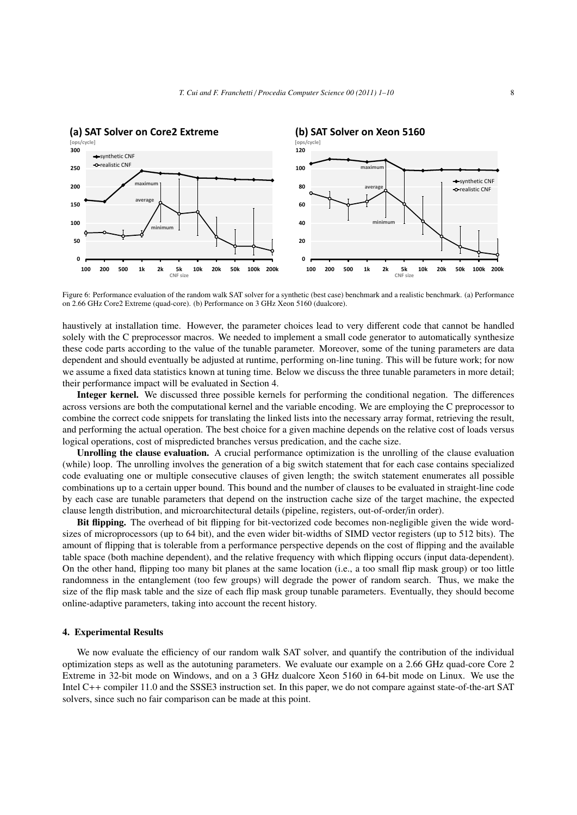

Figure 6: Performance evaluation of the random walk SAT solver for a synthetic (best case) benchmark and a realistic benchmark. (a) Performance on 2.66 GHz Core2 Extreme (quad-core). (b) Performance on 3 GHz Xeon 5160 (dualcore).

haustively at installation time. However, the parameter choices lead to very different code that cannot be handled solely with the C preprocessor macros. We needed to implement a small code generator to automatically synthesize these code parts according to the value of the tunable parameter. Moreover, some of the tuning parameters are data dependent and should eventually be adjusted at runtime, performing on-line tuning. This will be future work; for now we assume a fixed data statistics known at tuning time. Below we discuss the three tunable parameters in more detail; their performance impact will be evaluated in Section 4.

Integer kernel. We discussed three possible kernels for performing the conditional negation. The differences across versions are both the computational kernel and the variable encoding. We are employing the C preprocessor to combine the correct code snippets for translating the linked lists into the necessary array format, retrieving the result, and performing the actual operation. The best choice for a given machine depends on the relative cost of loads versus logical operations, cost of mispredicted branches versus predication, and the cache size.

Unrolling the clause evaluation. A crucial performance optimization is the unrolling of the clause evaluation (while) loop. The unrolling involves the generation of a big switch statement that for each case contains specialized code evaluating one or multiple consecutive clauses of given length; the switch statement enumerates all possible combinations up to a certain upper bound. This bound and the number of clauses to be evaluated in straight-line code by each case are tunable parameters that depend on the instruction cache size of the target machine, the expected clause length distribution, and microarchitectural details (pipeline, registers, out-of-order/in order).

Bit flipping. The overhead of bit flipping for bit-vectorized code becomes non-negligible given the wide wordsizes of microprocessors (up to 64 bit), and the even wider bit-widths of SIMD vector registers (up to 512 bits). The amount of flipping that is tolerable from a performance perspective depends on the cost of flipping and the available table space (both machine dependent), and the relative frequency with which flipping occurs (input data-dependent). On the other hand, flipping too many bit planes at the same location (i.e., a too small flip mask group) or too little randomness in the entanglement (too few groups) will degrade the power of random search. Thus, we make the size of the flip mask table and the size of each flip mask group tunable parameters. Eventually, they should become online-adaptive parameters, taking into account the recent history.

### 4. Experimental Results

We now evaluate the efficiency of our random walk SAT solver, and quantify the contribution of the individual optimization steps as well as the autotuning parameters. We evaluate our example on a 2.66 GHz quad-core Core 2 Extreme in 32-bit mode on Windows, and on a 3 GHz dualcore Xeon 5160 in 64-bit mode on Linux. We use the Intel C++ compiler 11.0 and the SSSE3 instruction set. In this paper, we do not compare against state-of-the-art SAT solvers, since such no fair comparison can be made at this point.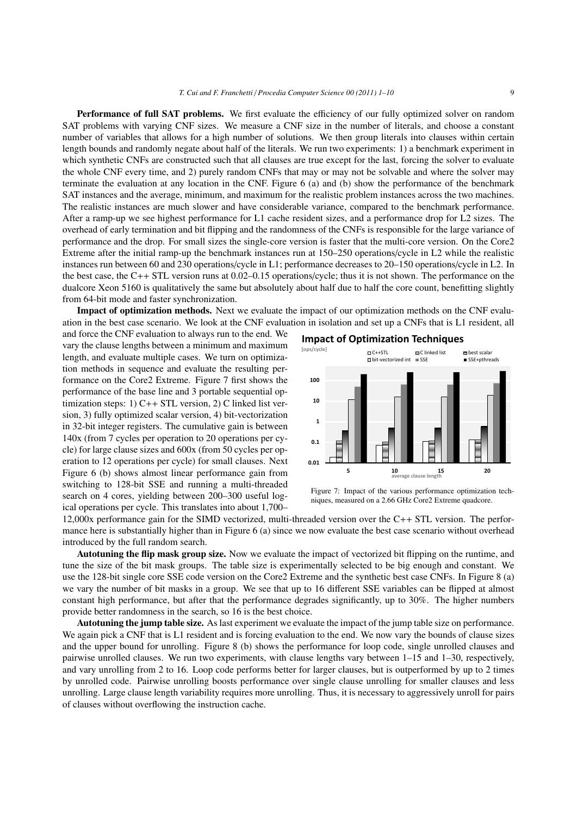**Performance of full SAT problems.** We first evaluate the efficiency of our fully optimized solver on random SAT problems with varying CNF sizes. We measure a CNF size in the number of literals, and choose a constant number of variables that allows for a high number of solutions. We then group literals into clauses within certain length bounds and randomly negate about half of the literals. We run two experiments: 1) a benchmark experiment in which synthetic CNFs are constructed such that all clauses are true except for the last, forcing the solver to evaluate the whole CNF every time, and 2) purely random CNFs that may or may not be solvable and where the solver may terminate the evaluation at any location in the CNF. Figure 6 (a) and (b) show the performance of the benchmark SAT instances and the average, minimum, and maximum for the realistic problem instances across the two machines. The realistic instances are much slower and have considerable variance, compared to the benchmark performance. After a ramp-up we see highest performance for L1 cache resident sizes, and a performance drop for L2 sizes. The overhead of early termination and bit flipping and the randomness of the CNFs is responsible for the large variance of performance and the drop. For small sizes the single-core version is faster that the multi-core version. On the Core2 Extreme after the initial ramp-up the benchmark instances run at 150–250 operations/cycle in L2 while the realistic instances run between 60 and 230 operations/cycle in L1; performance decreases to 20–150 operations/cycle in L2. In the best case, the C++ STL version runs at 0.02–0.15 operations/cycle; thus it is not shown. The performance on the dualcore Xeon 5160 is qualitatively the same but absolutely about half due to half the core count, benefitting slightly from 64-bit mode and faster synchronization.

Impact of optimization methods. Next we evaluate the impact of our optimization methods on the CNF evaluation in the best case scenario. We look at the CNF evaluation in isolation and set up a CNFs that is L1 resident, all

and force the CNF evaluation to always run to the end. We vary the clause lengths between a minimum and maximum length, and evaluate multiple cases. We turn on optimization methods in sequence and evaluate the resulting performance on the Core2 Extreme. Figure 7 first shows the performance of the base line and 3 portable sequential optimization steps: 1)  $C++$  STL version, 2) C linked list version, 3) fully optimized scalar version, 4) bit-vectorization in 32-bit integer registers. The cumulative gain is between 140x (from 7 cycles per operation to 20 operations per cycle) for large clause sizes and 600x (from 50 cycles per operation to 12 operations per cycle) for small clauses. Next Figure 6 (b) shows almost linear performance gain from switching to 128-bit SSE and running a multi-threaded search on 4 cores, yielding between 200–300 useful logical operations per cycle. This translates into about 1,700–





Figure 7: Impact of the various performance optimization techniques, measured on a 2.66 GHz Core2 Extreme quadcore.

12,000x performance gain for the SIMD vectorized, multi-threaded version over the C++ STL version. The performance here is substantially higher than in Figure 6 (a) since we now evaluate the best case scenario without overhead introduced by the full random search.

Autotuning the flip mask group size. Now we evaluate the impact of vectorized bit flipping on the runtime, and tune the size of the bit mask groups. The table size is experimentally selected to be big enough and constant. We use the 128-bit single core SSE code version on the Core2 Extreme and the synthetic best case CNFs. In Figure 8 (a) we vary the number of bit masks in a group. We see that up to 16 different SSE variables can be flipped at almost constant high performance, but after that the performance degrades significantly, up to 30%. The higher numbers provide better randomness in the search, so 16 is the best choice.

Autotuning the jump table size. As last experiment we evaluate the impact of the jump table size on performance. We again pick a CNF that is L1 resident and is forcing evaluation to the end. We now vary the bounds of clause sizes and the upper bound for unrolling. Figure 8 (b) shows the performance for loop code, single unrolled clauses and pairwise unrolled clauses. We run two experiments, with clause lengths vary between 1–15 and 1–30, respectively, and vary unrolling from 2 to 16. Loop code performs better for larger clauses, but is outperformed by up to 2 times by unrolled code. Pairwise unrolling boosts performance over single clause unrolling for smaller clauses and less unrolling. Large clause length variability requires more unrolling. Thus, it is necessary to aggressively unroll for pairs of clauses without overflowing the instruction cache.